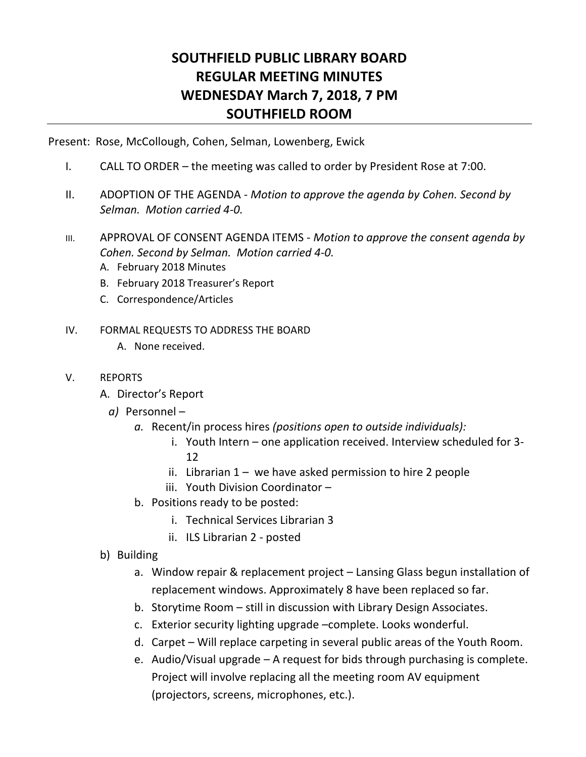## **SOUTHFIELD PUBLIC LIBRARY BOARD REGULAR MEETING MINUTES WEDNESDAY March 7, 2018, 7 PM SOUTHFIELD ROOM**

Present: Rose, McCollough, Cohen, Selman, Lowenberg, Ewick

- I. CALL TO ORDER the meeting was called to order by President Rose at 7:00.
- II. ADOPTION OF THE AGENDA *Motion to approve the agenda by Cohen. Second by Selman. Motion carried 4-0.*
- III. APPROVAL OF CONSENT AGENDA ITEMS *Motion to approve the consent agenda by Cohen. Second by Selman. Motion carried 4-0.* 
	- A. February 2018 Minutes
	- B. February 2018 Treasurer's Report
	- C. Correspondence/Articles

## IV. FORMAL REQUESTS TO ADDRESS THE BOARD

- A. None received.
- V. REPORTS
	- A. Director's Report
		- *a)* Personnel
			- *a.* Recent/in process hires *(positions open to outside individuals):*
				- i. Youth Intern one application received. Interview scheduled for 3- 12
				- ii. Librarian  $1 -$  we have asked permission to hire 2 people
				- iii. Youth Division Coordinator –
			- b. Positions ready to be posted:
				- i. Technical Services Librarian 3
				- ii. ILS Librarian 2 posted
	- b) Building
		- a. Window repair & replacement project Lansing Glass begun installation of replacement windows. Approximately 8 have been replaced so far.
		- b. Storytime Room still in discussion with Library Design Associates.
		- c. Exterior security lighting upgrade –complete. Looks wonderful.
		- d. Carpet Will replace carpeting in several public areas of the Youth Room.
		- e. Audio/Visual upgrade A request for bids through purchasing is complete. Project will involve replacing all the meeting room AV equipment (projectors, screens, microphones, etc.).